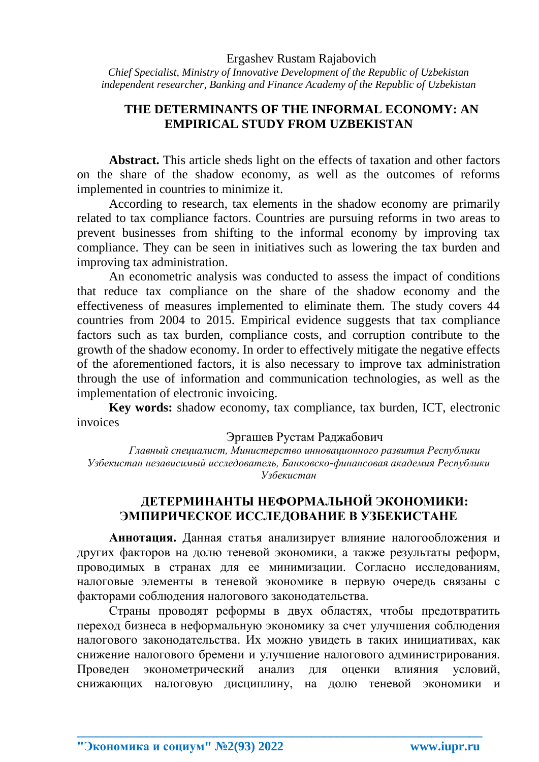*Chief Specialist, Ministry of Innovative Development of the Republic of Uzbekistan independent researcher, Banking and Finance Academy of the Republic of Uzbekistan*

## **THE DETERMINANTS OF THE INFORMAL ECONOMY: AN EMPIRICAL STUDY FROM UZBEKISTAN**

**Abstract.** This article sheds light on the effects of taxation and other factors on the share of the shadow economy, as well as the outcomes of reforms implemented in countries to minimize it.

According to research, tax elements in the shadow economy are primarily related to tax compliance factors. Countries are pursuing reforms in two areas to prevent businesses from shifting to the informal economy by improving tax compliance. They can be seen in initiatives such as lowering the tax burden and improving tax administration.

An econometric analysis was conducted to assess the impact of conditions that reduce tax compliance on the share of the shadow economy and the effectiveness of measures implemented to eliminate them. The study covers 44 countries from 2004 to 2015. Empirical evidence suggests that tax compliance factors such as tax burden, compliance costs, and corruption contribute to the growth of the shadow economy. In order to effectively mitigate the negative effects of the aforementioned factors, it is also necessary to improve tax administration through the use of information and communication technologies, as well as the implementation of electronic invoicing.

**Key words:** shadow economy, tax compliance, tax burden, ICT, electronic invoices

Эргашев Рустам Раджабович

*Главный специалист, Министерство инновационного развития Республики Узбекистан независимый исследователь, Банковско-финансовая академия Республики Узбекистан*

## **ДЕТЕРМИНАНТЫ НЕФОРМАЛЬНОЙ ЭКОНОМИКИ: ЭМПИРИЧЕСКОЕ ИССЛЕДОВАНИЕ В УЗБЕКИСТАНЕ**

**Аннотация.** Данная статья анализирует влияние налогообложения и других факторов на долю теневой экономики, а также результаты реформ, проводимых в странах для ее минимизации. Согласно исследованиям, налоговые элементы в теневой экономике в первую очередь связаны с факторами соблюдения налогового законодательства.

Страны проводят реформы в двух областях, чтобы предотвратить переход бизнеса в неформальную экономику за счет улучшения соблюдения налогового законодательства. Их можно увидеть в таких инициативах, как снижение налогового бремени и улучшение налогового администрирования. Проведен эконометрический анализ для оценки влияния условий, снижающих налоговую дисциплину, на долю теневой экономики и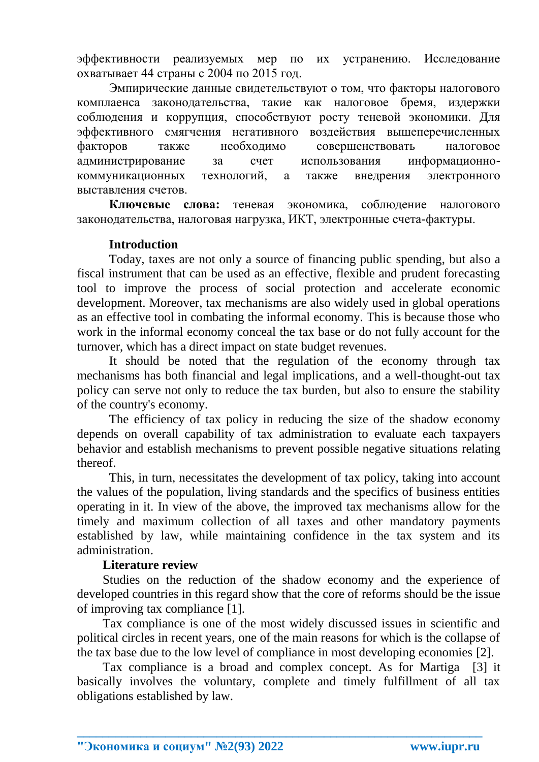эффективности реализуемых мер по их устранению. Исследование охватывает 44 страны с 2004 по 2015 год.

Эмпирические данные свидетельствуют о том, что факторы налогового комплаенса законодательства, такие как налоговое бремя, издержки соблюдения и коррупция, способствуют росту теневой экономики. Для эффективного смягчения негативного воздействия вышеперечисленных факторов также необходимо совершенствовать налоговое администрирование за счет использования информационнокоммуникационных технологий, а также внедрения электронного выставления счетов.

**Ключевые слова:** теневая экономика, соблюдение налогового законодательства, налоговая нагрузка, ИКТ, электронные счета-фактуры.

#### **Introduction**

Today, taxes are not only a source of financing public spending, but also a fiscal instrument that can be used as an effective, flexible and prudent forecasting tool to improve the process of social protection and accelerate economic development. Moreover, tax mechanisms are also widely used in global operations as an effective tool in combating the informal economy. This is because those who work in the informal economy conceal the tax base or do not fully account for the turnover, which has a direct impact on state budget revenues.

It should be noted that the regulation of the economy through tax mechanisms has both financial and legal implications, and a well-thought-out tax policy can serve not only to reduce the tax burden, but also to ensure the stability of the country's economy.

The efficiency of tax policy in reducing the size of the shadow economy depends on overall capability of tax administration to evaluate each taxpayers behavior and establish mechanisms to prevent possible negative situations relating thereof.

This, in turn, necessitates the development of tax policy, taking into account the values of the population, living standards and the specifics of business entities operating in it. In view of the above, the improved tax mechanisms allow for the timely and maximum collection of all taxes and other mandatory payments established by law, while maintaining confidence in the tax system and its administration.

### **Literature review**

Studies on the reduction of the shadow economy and the experience of developed countries in this regard show that the core of reforms should be the issue of improving tax compliance [1].

Tax compliance is one of the most widely discussed issues in scientific and political circles in recent years, one of the main reasons for which is the collapse of the tax base due to the low level of compliance in most developing economies [2].

Tax compliance is a broad and complex concept. As for Martiga [3] it basically involves the voluntary, complete and timely fulfillment of all tax obligations established by law.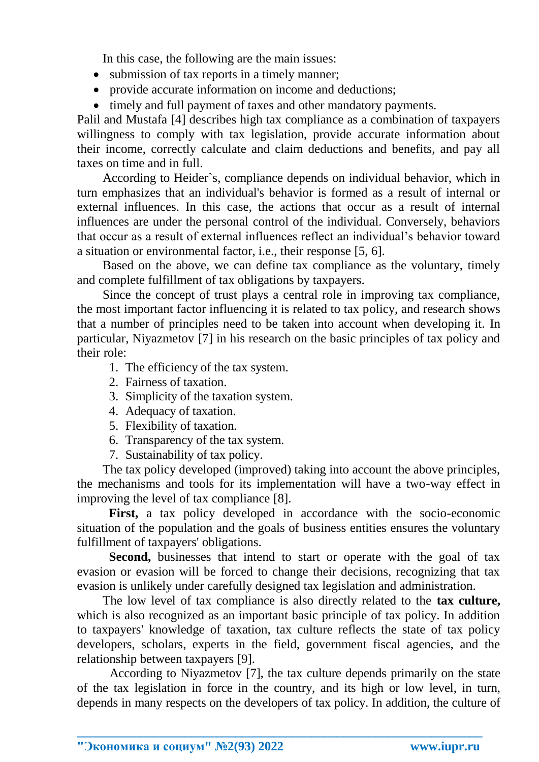In this case, the following are the main issues:

- submission of tax reports in a timely manner:
- provide accurate information on income and deductions;
- timely and full payment of taxes and other mandatory payments.

Palil and Mustafa [4] describes high tax compliance as a combination of taxpayers willingness to comply with tax legislation, provide accurate information about their income, correctly calculate and claim deductions and benefits, and pay all taxes on time and in full.

According to Heider`s, compliance depends on individual behavior, which in turn emphasizes that an individual's behavior is formed as a result of internal or external influences. In this case, the actions that occur as a result of internal influences are under the personal control of the individual. Conversely, behaviors that occur as a result of external influences reflect an individual's behavior toward a situation or environmental factor, i.e., their response [5, 6].

Based on the above, we can define tax compliance as the voluntary, timely and complete fulfillment of tax obligations by taxpayers.

Since the concept of trust plays a central role in improving tax compliance, the most important factor influencing it is related to tax policy, and research shows that a number of principles need to be taken into account when developing it. In particular, Niyazmetov [7] in his research on the basic principles of tax policy and their role:

- 1. The efficiency of the tax system.
- 2. Fairness of taxation.
- 3. Simplicity of the taxation system.
- 4. Adequacy of taxation.
- 5. Flexibility of taxation.
- 6. Transparency of the tax system.
- 7. Sustainability of tax policy.

The tax policy developed (improved) taking into account the above principles, the mechanisms and tools for its implementation will have a two-way effect in improving the level of tax compliance [8].

First, a tax policy developed in accordance with the socio-economic situation of the population and the goals of business entities ensures the voluntary fulfillment of taxpayers' obligations.

Second, businesses that intend to start or operate with the goal of tax evasion or evasion will be forced to change their decisions, recognizing that tax evasion is unlikely under carefully designed tax legislation and administration.

The low level of tax compliance is also directly related to the **tax culture,** which is also recognized as an important basic principle of tax policy. In addition to taxpayers' knowledge of taxation, tax culture reflects the state of tax policy developers, scholars, experts in the field, government fiscal agencies, and the relationship between taxpayers [9].

According to Niyazmetov [7], the tax culture depends primarily on the state of the tax legislation in force in the country, and its high or low level, in turn, depends in many respects on the developers of tax policy. In addition, the culture of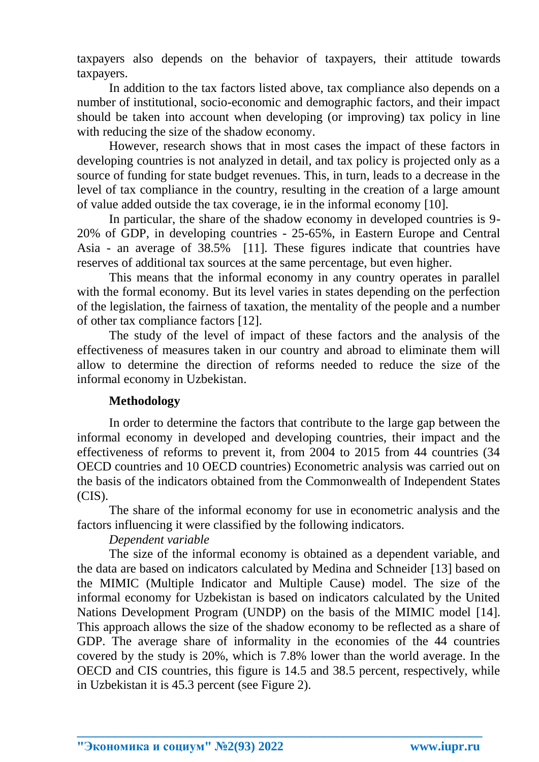taxpayers also depends on the behavior of taxpayers, their attitude towards taxpayers.

In addition to the tax factors listed above, tax compliance also depends on a number of institutional, socio-economic and demographic factors, and their impact should be taken into account when developing (or improving) tax policy in line with reducing the size of the shadow economy.

However, research shows that in most cases the impact of these factors in developing countries is not analyzed in detail, and tax policy is projected only as a source of funding for state budget revenues. This, in turn, leads to a decrease in the level of tax compliance in the country, resulting in the creation of a large amount of value added outside the tax coverage, ie in the informal economy [10].

In particular, the share of the shadow economy in developed countries is 9- 20% of GDP, in developing countries - 25-65%, in Eastern Europe and Central Asia - an average of 38.5% [11]. These figures indicate that countries have reserves of additional tax sources at the same percentage, but even higher.

This means that the informal economy in any country operates in parallel with the formal economy. But its level varies in states depending on the perfection of the legislation, the fairness of taxation, the mentality of the people and a number of other tax compliance factors [12].

The study of the level of impact of these factors and the analysis of the effectiveness of measures taken in our country and abroad to eliminate them will allow to determine the direction of reforms needed to reduce the size of the informal economy in Uzbekistan.

### **Methodology**

In order to determine the factors that contribute to the large gap between the informal economy in developed and developing countries, their impact and the effectiveness of reforms to prevent it, from 2004 to 2015 from 44 countries (34 OECD countries and 10 OECD countries) Econometric analysis was carried out on the basis of the indicators obtained from the Commonwealth of Independent States  $(CIS)$ .

The share of the informal economy for use in econometric analysis and the factors influencing it were classified by the following indicators.

### *Dependent variable*

The size of the informal economy is obtained as a dependent variable, and the data are based on indicators calculated by Medina and Schneider [13] based on the MIMIC (Multiple Indicator and Multiple Cause) model. The size of the informal economy for Uzbekistan is based on indicators calculated by the United Nations Development Program (UNDP) on the basis of the MIMIC model [14]. This approach allows the size of the shadow economy to be reflected as a share of GDP. The average share of informality in the economies of the 44 countries covered by the study is 20%, which is 7.8% lower than the world average. In the OECD and CIS countries, this figure is 14.5 and 38.5 percent, respectively, while in Uzbekistan it is 45.3 percent (see Figure 2).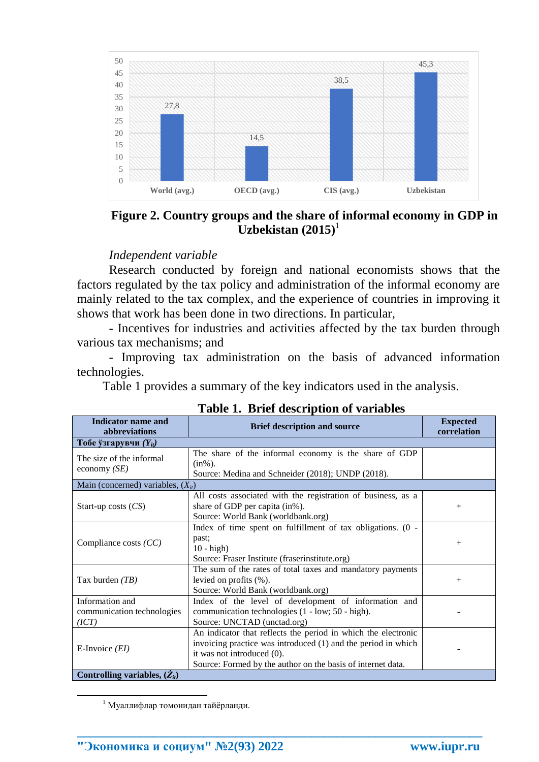

**Figure 2. Country groups and the share of informal economy in GDP in**   $\text{Uzbekistan}$  (2015)<sup>1</sup>

#### *Independent variable*

Research conducted by foreign and national economists shows that the factors regulated by the tax policy and administration of the informal economy are mainly related to the tax complex, and the experience of countries in improving it shows that work has been done in two directions. In particular,

- Incentives for industries and activities affected by the tax burden through various tax mechanisms; and

- Improving tax administration on the basis of advanced information technologies.

Table 1 provides a summary of the key indicators used in the analysis.

| Indicator name and<br>abbreviations                    | <b>Brief description and source</b>                                                                                                                                                                                         | <b>Expected</b><br>correlation |
|--------------------------------------------------------|-----------------------------------------------------------------------------------------------------------------------------------------------------------------------------------------------------------------------------|--------------------------------|
| Тобе ўзгарувчи $(Y_{it})$                              |                                                                                                                                                                                                                             |                                |
| The size of the informal<br>economy $(SE)$             | The share of the informal economy is the share of GDP<br>$(in\%)$ .<br>Source: Medina and Schneider (2018); UNDP (2018).                                                                                                    |                                |
| Main (concerned) variables, $(X_{it})$                 |                                                                                                                                                                                                                             |                                |
| Start-up costs $(CS)$                                  | All costs associated with the registration of business, as a<br>share of GDP per capita (in%).<br>Source: World Bank (worldbank.org)                                                                                        | $+$                            |
| Compliance costs $(CC)$                                | Index of time spent on fulfillment of tax obligations. (0 -<br>past;<br>$10 - high$<br>Source: Fraser Institute (fraserinstitute.org)                                                                                       | $+$                            |
| Tax burden $(TB)$                                      | The sum of the rates of total taxes and mandatory payments<br>levied on profits $(\%).$<br>Source: World Bank (worldbank.org)                                                                                               | $+$                            |
| Information and<br>communication technologies<br>(ICT) | Index of the level of development of information and<br>communication technologies (1 - low; 50 - high).<br>Source: UNCTAD (unctad.org)                                                                                     |                                |
| E-Invoice $(EI)$<br>Controlling variables, $(Z_{it})$  | An indicator that reflects the period in which the electronic<br>invoicing practice was introduced (1) and the period in which<br>it was not introduced (0).<br>Source: Formed by the author on the basis of internet data. |                                |

**\_\_\_\_\_\_\_\_\_\_\_\_\_\_\_\_\_\_\_\_\_\_\_\_\_\_\_\_\_\_\_\_\_\_\_\_\_\_\_\_\_\_\_\_\_\_\_\_\_\_\_\_\_\_\_\_\_\_\_\_\_\_\_\_**

**Table 1. Brief description of variables**

**.** 

<sup>1</sup> Муаллифлар томонидан тайёрланди.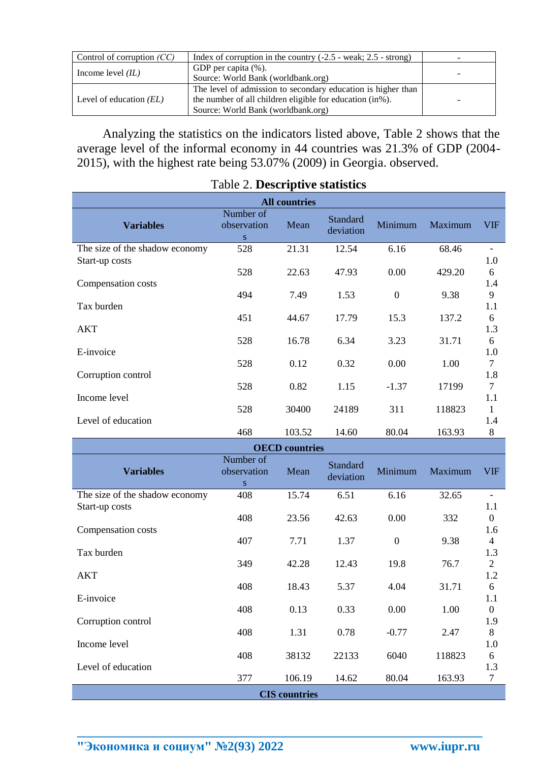| Control of corruption $(CC)$ | Index of corruption in the country $(-2.5 - \text{weak}; 2.5 - \text{strong})$                                                                                 |  |
|------------------------------|----------------------------------------------------------------------------------------------------------------------------------------------------------------|--|
| Income level $(IL)$          | GDP per capita (%).<br>Source: World Bank (worldbank.org)                                                                                                      |  |
| Level of education $(EL)$    | The level of admission to secondary education is higher than<br>the number of all children eligible for education (in%).<br>Source: World Bank (worldbank.org) |  |

Analyzing the statistics on the indicators listed above, Table 2 shows that the average level of the informal economy in 44 countries was 21.3% of GDP (2004- 2015), with the highest rate being 53.07% (2009) in Georgia. observed.

| <b>All countries</b>           |                               |        |                       |                  |         |            |
|--------------------------------|-------------------------------|--------|-----------------------|------------------|---------|------------|
| <b>Variables</b>               | Number of<br>observation<br>S | Mean   | Standard<br>deviation | Minimum          | Maximum | <b>VIF</b> |
| The size of the shadow economy | 528                           | 21.31  | 12.54                 | 6.16             | 68.46   |            |
| Start-up costs                 |                               |        |                       |                  |         | 1.0        |
|                                | 528                           | 22.63  | 47.93                 | 0.00             | 429.20  | 6          |
| Compensation costs             |                               |        |                       |                  |         | 1.4        |
|                                | 494                           | 7.49   | 1.53                  | $\boldsymbol{0}$ | 9.38    | 9          |
| Tax burden                     |                               |        |                       |                  |         | 1.1        |
|                                | 451                           | 44.67  | 17.79                 | 15.3             | 137.2   | 6          |
| <b>AKT</b>                     |                               |        |                       |                  |         | 1.3        |
|                                | 528                           | 16.78  | 6.34                  | 3.23             | 31.71   | 6          |
| E-invoice                      |                               |        |                       |                  |         | 1.0        |
|                                | 528                           | 0.12   | 0.32                  | 0.00             | 1.00    | 7          |
| Corruption control             |                               |        |                       |                  |         | 1.8        |
|                                | 528                           | 0.82   | 1.15                  | $-1.37$          | 17199   | 7          |
| Income level                   |                               |        |                       |                  |         | 1.1        |
|                                | 528                           | 30400  | 24189                 | 311              | 118823  | 1          |
| Level of education             |                               |        |                       |                  |         | 1.4        |
|                                | 468                           | 103.52 | 14.60                 | 80.04            | 163.93  | 8          |

# Table 2. **Descriptive statistics**

| <b>OECD</b> countries          |                                |        |                       |                |         |                  |
|--------------------------------|--------------------------------|--------|-----------------------|----------------|---------|------------------|
| <b>Variables</b>               | Number of<br>observation<br>S. | Mean   | Standard<br>deviation | Minimum        | Maximum | <b>VIF</b>       |
| The size of the shadow economy | 408                            | 15.74  | 6.51                  | 6.16           | 32.65   |                  |
| Start-up costs                 |                                |        |                       |                |         | 1.1              |
|                                | 408                            | 23.56  | 42.63                 | 0.00           | 332     | $\boldsymbol{0}$ |
| Compensation costs             |                                |        |                       |                |         | 1.6              |
|                                | 407                            | 7.71   | 1.37                  | $\overline{0}$ | 9.38    | $\overline{4}$   |
| Tax burden                     |                                |        |                       |                |         | 1.3              |
|                                | 349                            | 42.28  | 12.43                 | 19.8           | 76.7    | $\overline{2}$   |
| <b>AKT</b>                     |                                |        |                       |                |         | 1.2              |
|                                | 408                            | 18.43  | 5.37                  | 4.04           | 31.71   | 6                |
| E-invoice                      |                                |        |                       |                |         | 1.1              |
|                                | 408                            | 0.13   | 0.33                  | 0.00           | 1.00    | $\overline{0}$   |
| Corruption control             | 408                            | 1.31   | 0.78                  | $-0.77$        | 2.47    | 1.9<br>8         |
| Income level                   |                                |        |                       |                |         | 1.0              |
|                                | 408                            | 38132  | 22133                 | 6040           | 118823  | 6                |
| Level of education             |                                |        |                       |                |         | 1.3              |
|                                | 377                            | 106.19 | 14.62                 | 80.04          | 163.93  | 7                |
| <b>CIS</b> countries           |                                |        |                       |                |         |                  |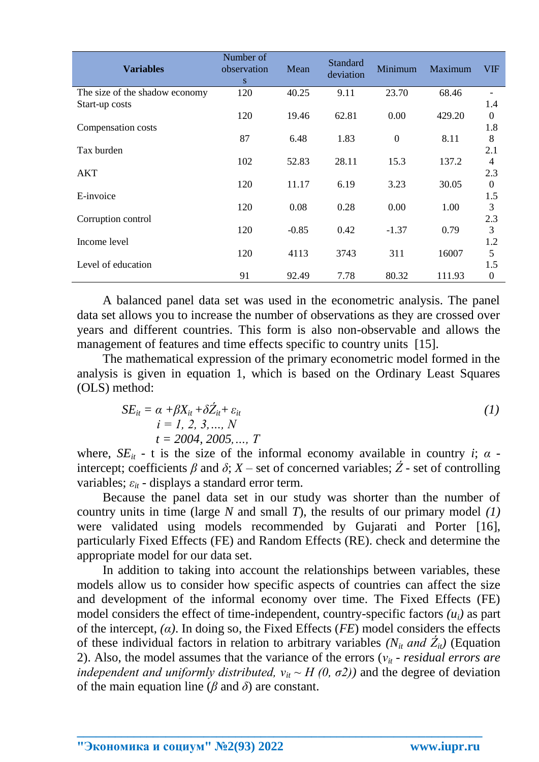| <b>Variables</b>               | Number of<br>observation<br><sub>S</sub> | Mean    | <b>Standard</b><br>deviation | Minimum          | Maximum | <b>VIF</b>   |
|--------------------------------|------------------------------------------|---------|------------------------------|------------------|---------|--------------|
| The size of the shadow economy | 120                                      | 40.25   | 9.11                         | 23.70            | 68.46   |              |
| Start-up costs                 |                                          |         |                              |                  |         | 1.4          |
|                                | 120                                      | 19.46   | 62.81                        | 0.00             | 429.20  | $\theta$     |
| Compensation costs             |                                          |         |                              |                  |         | 1.8          |
|                                | 87                                       | 6.48    | 1.83                         | $\boldsymbol{0}$ | 8.11    | 8            |
| Tax burden                     |                                          |         |                              |                  |         | 2.1          |
|                                | 102                                      | 52.83   | 28.11                        | 15.3             | 137.2   | 4            |
| <b>AKT</b>                     |                                          |         |                              |                  |         | 2.3          |
|                                | 120                                      | 11.17   | 6.19                         | 3.23             | 30.05   | $\Omega$     |
| E-invoice                      |                                          |         |                              |                  |         | 1.5          |
|                                | 120                                      | 0.08    | 0.28                         | 0.00             | 1.00    | 3            |
| Corruption control             |                                          |         |                              |                  |         | 2.3          |
|                                | 120                                      | $-0.85$ | 0.42                         | $-1.37$          | 0.79    | 3            |
| Income level                   |                                          |         |                              |                  |         | 1.2          |
|                                | 120                                      | 4113    | 3743                         | 311              | 16007   | 5            |
| Level of education             |                                          |         |                              |                  |         | 1.5          |
|                                | 91                                       | 92.49   | 7.78                         | 80.32            | 111.93  | $\mathbf{0}$ |

A balanced panel data set was used in the econometric analysis. The panel data set allows you to increase the number of observations as they are crossed over years and different countries. This form is also non-observable and allows the management of features and time effects specific to country units [15].

The mathematical expression of the primary econometric model formed in the analysis is given in equation 1, which is based on the Ordinary Least Squares (OLS) method:

$$
SE_{it} = \alpha + \beta X_{it} + \delta Z_{it} + \varepsilon_{it}
$$
  
\n $i = 1, 2, 3, ..., N$   
\n $t = 2004, 2005, ..., T$  (1)

where,  $SE_{it}$  - t is the size of the informal economy available in country *i*;  $\alpha$  intercept; coefficients  $\beta$  and  $\delta$ ;  $X$  – set of concerned variables;  $\acute{Z}$  - set of controlling variables;  $\varepsilon_{it}$  - displays a standard error term.

Because the panel data set in our study was shorter than the number of country units in time (large *N* and small *T*), the results of our primary model *(1)* were validated using models recommended by Gujarati and Porter [16], particularly Fixed Effects (FE) and Random Effects (RE). check and determine the appropriate model for our data set.

In addition to taking into account the relationships between variables, these models allow us to consider how specific aspects of countries can affect the size and development of the informal economy over time. The Fixed Effects (FE) model considers the effect of time-independent, country-specific factors  $(u_i)$  as part of the intercept, *(α)*. In doing so, the Fixed Effects (*FE*) model considers the effects of these individual factors in relation to arbitrary variables  $(N_{it}$  *and*  $Z_{it}$ *)* (Equation 2). Also, the model assumes that the variance of the errors ( $v_i$  - *residual errors are independent and uniformly distributed,*  $v_{it} \sim H(0, \sigma^2)$  and the degree of deviation of the main equation line (*β* and *δ*) are constant.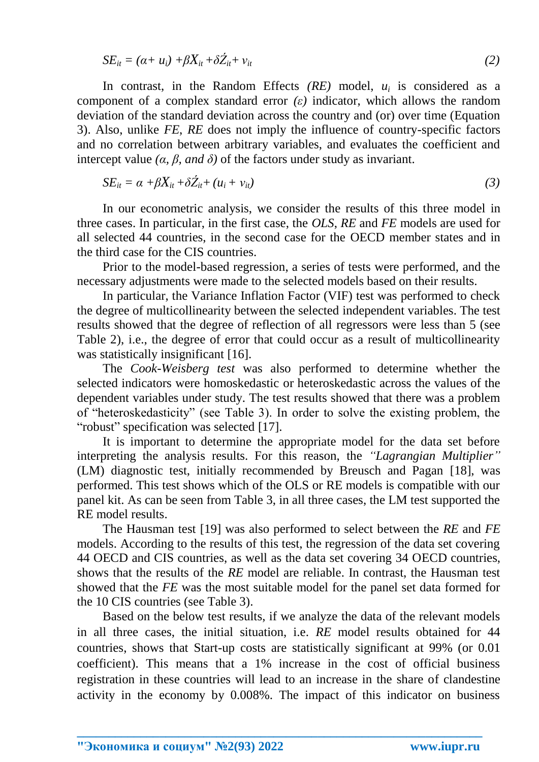$$
SE_{it} = (\alpha + u_i) + \beta X_{it} + \delta Z_{it} + v_{it}
$$
\n<sup>(2)</sup>

In contrast, in the Random Effects  $(RE)$  model,  $u_i$  is considered as a component of a complex standard error *(ε)* indicator, which allows the random deviation of the standard deviation across the country and (or) over time (Equation 3). Also, unlike *FE*, *RE* does not imply the influence of country-specific factors and no correlation between arbitrary variables, and evaluates the coefficient and intercept value  $(a, \beta, and \delta)$  of the factors under study as invariant.

$$
SE_{it} = \alpha + \beta X_{it} + \delta Z_{it} + (u_i + v_{it})
$$
\n(3)

In our econometric analysis, we consider the results of this three model in three cases. In particular, in the first case, the *OLS*, *RE* and *FE* models are used for all selected 44 countries, in the second case for the OECD member states and in the third case for the CIS countries.

Prior to the model-based regression, a series of tests were performed, and the necessary adjustments were made to the selected models based on their results.

In particular, the Variance Inflation Factor (VIF) test was performed to check the degree of multicollinearity between the selected independent variables. The test results showed that the degree of reflection of all regressors were less than 5 (see Table 2), i.e., the degree of error that could occur as a result of multicollinearity was statistically insignificant [16].

The *Cook-Weisberg test* was also performed to determine whether the selected indicators were homoskedastic or heteroskedastic across the values of the dependent variables under study. The test results showed that there was a problem of "heteroskedasticity" (see Table 3). In order to solve the existing problem, the "robust" specification was selected [17].

It is important to determine the appropriate model for the data set before interpreting the analysis results. For this reason, the *"Lagrangian Multiplier"* (LM) diagnostic test, initially recommended by Breusch and Pagan [18], was performed. This test shows which of the OLS or RE models is compatible with our panel kit. As can be seen from Table 3, in all three cases, the LM test supported the RE model results.

The Hausman test [19] was also performed to select between the *RE* and *FE* models. According to the results of this test, the regression of the data set covering 44 OECD and CIS countries, as well as the data set covering 34 OECD countries, shows that the results of the *RE* model are reliable. In contrast, the Hausman test showed that the *FE* was the most suitable model for the panel set data formed for the 10 CIS countries (see Table 3).

Based on the below test results, if we analyze the data of the relevant models in all three cases, the initial situation, i.e. *RE* model results obtained for 44 countries, shows that Start-up costs are statistically significant at 99% (or 0.01 coefficient). This means that a 1% increase in the cost of official business registration in these countries will lead to an increase in the share of clandestine activity in the economy by 0.008%. The impact of this indicator on business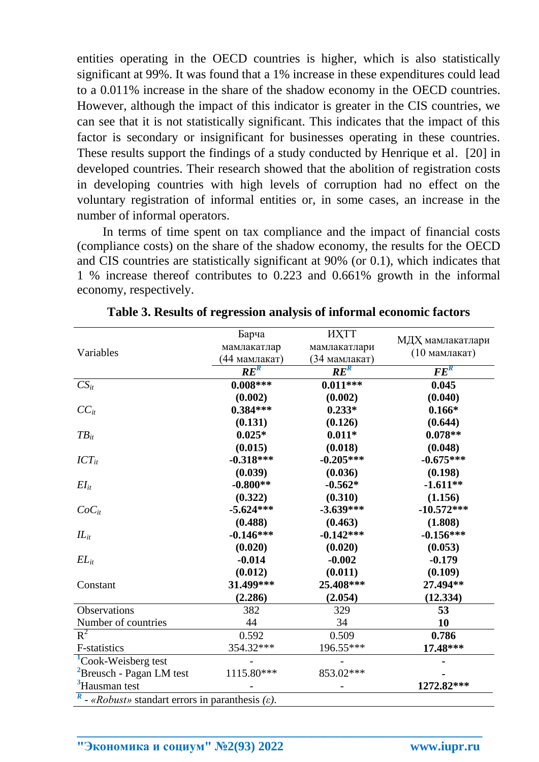entities operating in the OECD countries is higher, which is also statistically significant at 99%. It was found that a 1% increase in these expenditures could lead to a 0.011% increase in the share of the shadow economy in the OECD countries. However, although the impact of this indicator is greater in the CIS countries, we can see that it is not statistically significant. This indicates that the impact of this factor is secondary or insignificant for businesses operating in these countries. These results support the findings of a study conducted by Henrique et al. [20] in developed countries. Their research showed that the abolition of registration costs in developing countries with high levels of corruption had no effect on the voluntary registration of informal entities or, in some cases, an increase in the number of informal operators.

In terms of time spent on tax compliance and the impact of financial costs (compliance costs) on the share of the shadow economy, the results for the OECD and CIS countries are statistically significant at 90% (or 0.1), which indicates that 1 % increase thereof contributes to 0.223 and 0.661% growth in the informal economy, respectively.

|                                                                                 | Барча             | <b>HXTT</b>   |                  |
|---------------------------------------------------------------------------------|-------------------|---------------|------------------|
|                                                                                 |                   |               | МДХ мамлакатлари |
| Variables                                                                       | мамлакатлар       | мамлакатлари  | (10 мамлакат)    |
|                                                                                 | (44 мамлакат)     | (34 мамлакат) |                  |
|                                                                                 | $\overline{RE}^R$ | $RE^R$        | $FE^R$           |
| $CS_{it}$                                                                       | $0.008***$        | $0.011***$    | 0.045            |
|                                                                                 | (0.002)           | (0.002)       | (0.040)          |
| $CC_{it}$                                                                       | $0.384***$        | $0.233*$      | $0.166*$         |
|                                                                                 | (0.131)           | (0.126)       | (0.644)          |
| $TB_{it}$                                                                       | $0.025*$          | $0.011*$      | $0.078**$        |
|                                                                                 | (0.015)           | (0.018)       | (0.048)          |
| $ICT_{it}$                                                                      | $-0.318***$       | $-0.205***$   | $-0.675***$      |
|                                                                                 | (0.039)           | (0.036)       | (0.198)          |
| $EI_{it}$                                                                       | $-0.800**$        | $-0.562*$     | $-1.611**$       |
|                                                                                 | (0.322)           | (0.310)       | (1.156)          |
| $CoC_{it}$                                                                      | $-5.624***$       | $-3.639***$   | $-10.572***$     |
|                                                                                 | (0.488)           | (0.463)       | (1.808)          |
| $IL_{it}$                                                                       | $-0.146***$       | $-0.142***$   | $-0.156***$      |
|                                                                                 | (0.020)           | (0.020)       | (0.053)          |
| $EL_{it}$                                                                       | $-0.014$          | $-0.002$      | $-0.179$         |
|                                                                                 | (0.012)           | (0.011)       | (0.109)          |
| Constant                                                                        | 31.499***         | 25.408***     | 27.494**         |
|                                                                                 | (2.286)           | (2.054)       | (12.334)         |
| Observations                                                                    | 382               | 329           | 53               |
| Number of countries                                                             | 44                | 34            | 10               |
| $R^2$                                                                           | 0.592             | 0.509         | 0.786            |
| <b>F-statistics</b>                                                             | 354.32***         | 196.55***     | 17.48***         |
| Cook-Weisberg test                                                              |                   |               |                  |
| $\Delta$ Breusch - Pagan LM test                                                | 1115.80***        | 853.02***     |                  |
| <sup>3</sup> Hausman test                                                       |                   |               | 1272.82***       |
| $\boldsymbol{R}$<br>- «Robust» standart errors in paranthesis $(\varepsilon)$ . |                   |               |                  |

**Table 3. Results of regression analysis of informal economic factors**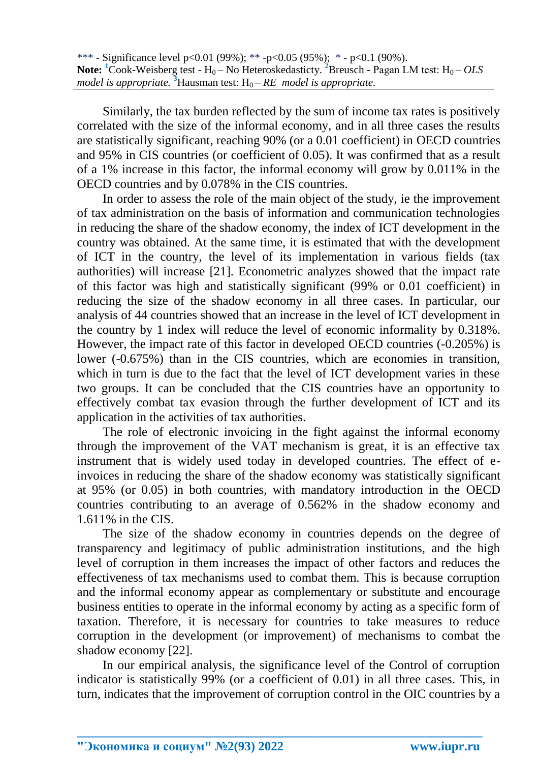Similarly, the tax burden reflected by the sum of income tax rates is positively correlated with the size of the informal economy, and in all three cases the results are statistically significant, reaching 90% (or a 0.01 coefficient) in OECD countries and 95% in CIS countries (or coefficient of 0.05). It was confirmed that as a result of a 1% increase in this factor, the informal economy will grow by 0.011% in the OECD countries and by 0.078% in the CIS countries.

In order to assess the role of the main object of the study, ie the improvement of tax administration on the basis of information and communication technologies in reducing the share of the shadow economy, the index of ICT development in the country was obtained. At the same time, it is estimated that with the development of ICT in the country, the level of its implementation in various fields (tax authorities) will increase [21]. Econometric analyzes showed that the impact rate of this factor was high and statistically significant (99% or 0.01 coefficient) in reducing the size of the shadow economy in all three cases. In particular, our analysis of 44 countries showed that an increase in the level of ICT development in the country by 1 index will reduce the level of economic informality by 0.318%. However, the impact rate of this factor in developed OECD countries (-0.205%) is lower (-0.675%) than in the CIS countries, which are economies in transition, which in turn is due to the fact that the level of ICT development varies in these two groups. It can be concluded that the CIS countries have an opportunity to effectively combat tax evasion through the further development of ICT and its application in the activities of tax authorities.

The role of electronic invoicing in the fight against the informal economy through the improvement of the VAT mechanism is great, it is an effective tax instrument that is widely used today in developed countries. The effect of einvoices in reducing the share of the shadow economy was statistically significant at 95% (or 0.05) in both countries, with mandatory introduction in the OECD countries contributing to an average of 0.562% in the shadow economy and 1.611% in the CIS.

The size of the shadow economy in countries depends on the degree of transparency and legitimacy of public administration institutions, and the high level of corruption in them increases the impact of other factors and reduces the effectiveness of tax mechanisms used to combat them. This is because corruption and the informal economy appear as complementary or substitute and encourage business entities to operate in the informal economy by acting as a specific form of taxation. Therefore, it is necessary for countries to take measures to reduce corruption in the development (or improvement) of mechanisms to combat the shadow economy [22].

In our empirical analysis, the significance level of the Control of corruption indicator is statistically 99% (or a coefficient of 0.01) in all three cases. This, in turn, indicates that the improvement of corruption control in the OIC countries by a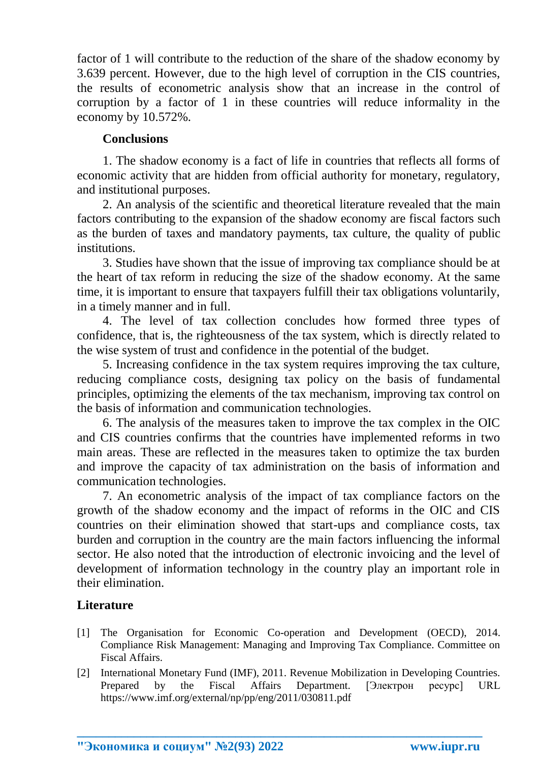factor of 1 will contribute to the reduction of the share of the shadow economy by 3.639 percent. However, due to the high level of corruption in the CIS countries, the results of econometric analysis show that an increase in the control of corruption by a factor of 1 in these countries will reduce informality in the economy by 10.572%.

## **Conclusions**

1. The shadow economy is a fact of life in countries that reflects all forms of economic activity that are hidden from official authority for monetary, regulatory, and institutional purposes.

2. An analysis of the scientific and theoretical literature revealed that the main factors contributing to the expansion of the shadow economy are fiscal factors such as the burden of taxes and mandatory payments, tax culture, the quality of public institutions.

3. Studies have shown that the issue of improving tax compliance should be at the heart of tax reform in reducing the size of the shadow economy. At the same time, it is important to ensure that taxpayers fulfill their tax obligations voluntarily, in a timely manner and in full.

4. The level of tax collection concludes how formed three types of confidence, that is, the righteousness of the tax system, which is directly related to the wise system of trust and confidence in the potential of the budget.

5. Increasing confidence in the tax system requires improving the tax culture, reducing compliance costs, designing tax policy on the basis of fundamental principles, optimizing the elements of the tax mechanism, improving tax control on the basis of information and communication technologies.

6. The analysis of the measures taken to improve the tax complex in the OIC and CIS countries confirms that the countries have implemented reforms in two main areas. These are reflected in the measures taken to optimize the tax burden and improve the capacity of tax administration on the basis of information and communication technologies.

7. An econometric analysis of the impact of tax compliance factors on the growth of the shadow economy and the impact of reforms in the OIC and CIS countries on their elimination showed that start-ups and compliance costs, tax burden and corruption in the country are the main factors influencing the informal sector. He also noted that the introduction of electronic invoicing and the level of development of information technology in the country play an important role in their elimination.

# **Literature**

- [1] The Organisation for Economic Co-operation and Development (OECD), 2014. Compliance Risk Management: Managing and Improving Tax Compliance. Committee on Fiscal Affairs.
- [2] International Monetary Fund (IMF), 2011. Revenue Mobilization in Developing Countries. Prepared by the Fiscal Affairs Department. [Электрон ресурс] URL <https://www.imf.org/external/np/pp/eng/2011/030811.pdf>